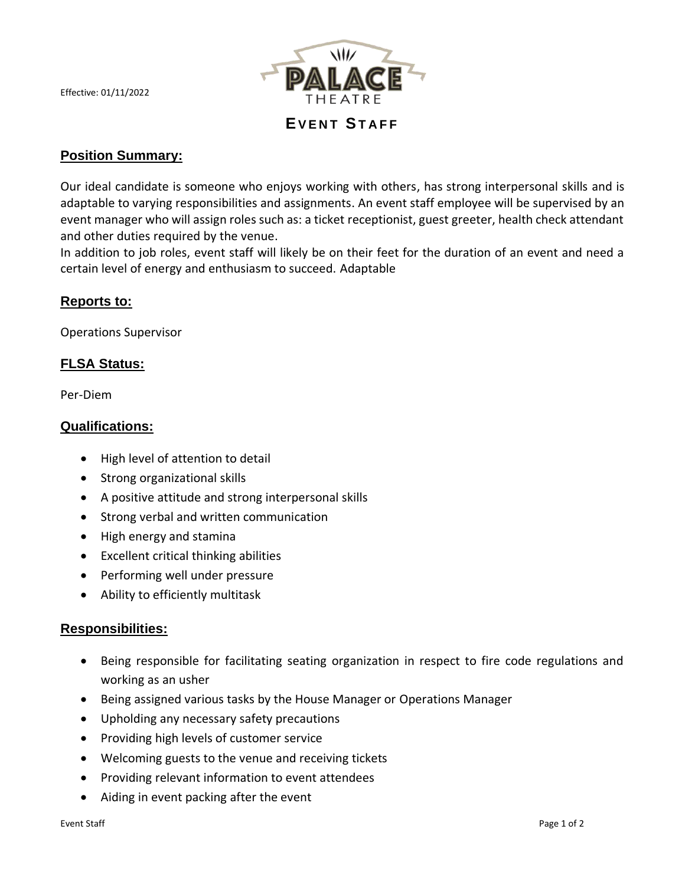Effective: 01/11/2022



**EVENT STAFF** 

# **Position Summary:**

Our ideal candidate is someone who enjoys working with others, has strong interpersonal skills and is adaptable to varying responsibilities and assignments. An event staff employee will be supervised by an event manager who will assign roles such as: a ticket receptionist, guest greeter, health check attendant and other duties required by the venue.

In addition to job roles, event staff will likely be on their feet for the duration of an event and need a certain level of energy and enthusiasm to succeed. Adaptable

### **Reports to:**

Operations Supervisor

### **FLSA Status:**

Per-Diem

#### **Qualifications:**

- High level of attention to detail
- Strong organizational skills
- A positive attitude and strong interpersonal skills
- Strong verbal and written communication
- High energy and stamina
- Excellent critical thinking abilities
- Performing well under pressure
- Ability to efficiently multitask

#### **Responsibilities:**

- Being responsible for facilitating seating organization in respect to fire code regulations and working as an usher
- Being assigned various tasks by the House Manager or Operations Manager
- Upholding any necessary safety precautions
- Providing high levels of customer service
- Welcoming guests to the venue and receiving tickets
- Providing relevant information to event attendees
- Aiding in event packing after the event